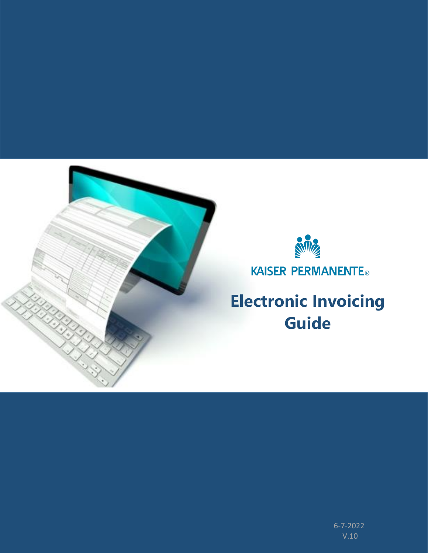



KAISER PERMANENTE®

**Electronic Invoicing Guide**

> V.10 6-7-2022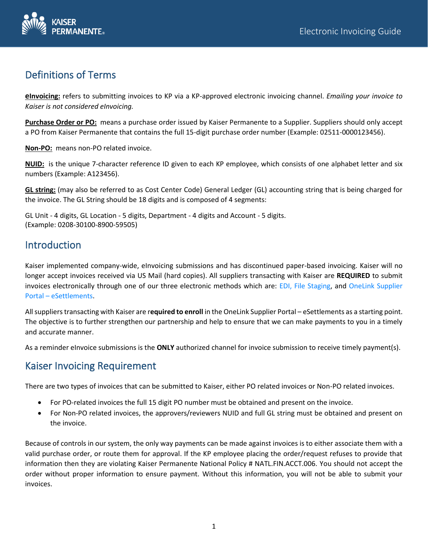

## Definitions of Terms

**eInvoicing:** refers to submitting invoices to KP via a KP-approved electronic invoicing channel. *Emailing your invoice to Kaiser is not considered eInvoicing.* 

**Purchase Order or PO:** means a purchase order issued by Kaiser Permanente to a Supplier. Suppliers should only accept a PO from Kaiser Permanente that contains the full 15-digit purchase order number (Example: 02511-0000123456).

**Non-PO:** means non-PO related invoice.

**NUID:** is the unique 7-character reference ID given to each KP employee, which consists of one alphabet letter and six numbers (Example: A123456).

**GL string:** (may also be referred to as Cost Center Code) General Ledger (GL) accounting string that is being charged for the invoice. The GL String should be 18 digits and is composed of 4 segments:

GL Unit - 4 digits, GL Location - 5 digits, Department - 4 digits and Account - 5 digits. (Example: 0208-30100-8900-59505)

## Introduction

Kaiser implemented company-wide, eInvoicing submissions and has discontinued paper-based invoicing. Kaiser will no longer accept invoices received via US Mail (hard copies). All suppliers transacting with Kaiser are **REQUIRED** to submit invoices electronically through one of our three electronic methods which are: EDI, File Staging, and OneLink Supplier Portal – eSettlements.

All suppliers transacting with Kaiser are r**equired to enroll** in the OneLink Supplier Portal – eSettlements as a starting point. The objective is to further strengthen our partnership and help to ensure that we can make payments to you in a timely and accurate manner.

As a reminder eInvoice submissions is the **ONLY** authorized channel for invoice submission to receive timely payment(s).

## Kaiser Invoicing Requirement

There are two types of invoices that can be submitted to Kaiser, either PO related invoices or Non-PO related invoices.

- For PO-related invoices the full 15 digit PO number must be obtained and present on the invoice.
- For Non-PO related invoices, the approvers/reviewers NUID and full GL string must be obtained and present on the invoice.

Because of controls in our system, the only way payments can be made against invoices is to either associate them with a valid purchase order, or route them for approval. If the KP employee placing the order/request refuses to provide that information then they are violating Kaiser Permanente National Policy # NATL.FIN.ACCT.006. You should not accept the order without proper information to ensure payment. Without this information, you will not be able to submit your invoices.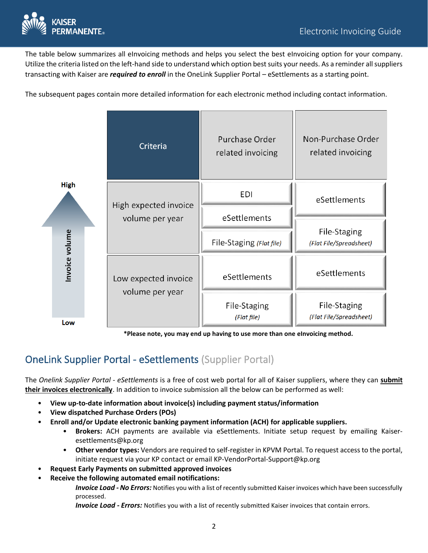

The table below summarizes all eInvoicing methods and helps you select the best eInvoicing option for your company. Utilize the criteria listed on the left-hand side to understand which option best suits your needs. As a reminder all suppliers transacting with Kaiser are *required to enroll* in the OneLink Supplier Portal – eSettlements as a starting point.

The subsequent pages contain more detailed information for each electronic method including contact information.



 **\*Please note, you may end up having to use more than one eInvoicing method.**

# OneLink Supplier Portal - eSettlements (Supplier Portal)

The *Onelink Supplier Portal - eSettlements* is a free of cost web portal for all of Kaiser suppliers, where they can **submit their invoices electronically**. In addition to invoice submission all the below can be performed as well:

- **View up-to-date information about invoice(s) including payment status/information**
- **View dispatched Purchase Orders (POs)**
- **Enroll and/or Update electronic banking payment information (ACH) for applicable suppliers.**
	- **Brokers:** ACH payments are available via eSettlements. Initiate setup request by emailing Kaiseresettlements@kp.org
	- **Other vendor types:** Vendors are required to self-register in KPVM Portal. To request access to the portal, initiate request via your KP contact or email KP-VendorPortal-Support@kp.org
- **Request Early Payments on submitted approved invoices**
- **Receive the following automated email notifications:**

*Invoice Load - No Errors:* Notifies you with a list of recently submitted Kaiser invoices which have been successfully processed.

*Invoice Load - Errors:* Notifies you with a list of recently submitted Kaiser invoices that contain errors.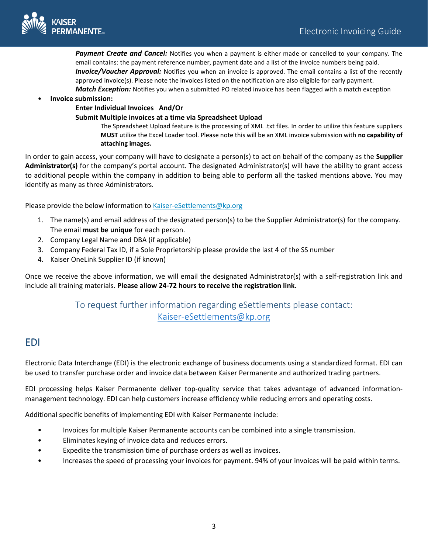

*Payment Create and Cancel:* Notifies you when a payment is either made or cancelled to your company. The email contains: the payment reference number, payment date and a list of the invoice numbers being paid. *Invoice/Voucher Approval:* Notifies you when an invoice is approved. The email contains a list of the recently approved invoice(s). Please note the invoices listed on the notification are also eligible for early payment. *Match Exception:* Notifies you when a submitted PO related invoice has been flagged with a match exception

• **Invoice submission:**

#### **Enter Individual Invoices And/Or**

#### **Submit Multiple invoices at a time via Spreadsheet Upload**

The Spreadsheet Upload feature is the processing of XML .txt files. In order to utilize this feature suppliers **MUST** utilize the Excel Loader tool. Please note this will be an XML invoice submission with **no capability of attaching images.**

In order to gain access, your company will have to designate a person(s) to act on behalf of the company as the **Supplier Administrator(s)** for the company's portal account. The designated Administrator(s) will have the ability to grant access to additional people within the company in addition to being able to perform all the tasked mentions above. You may identify as many as three Administrators.

Please provide the below information to [Kaiser-eSettlements@kp.org](mailto:Kaiser-eSettlements@kp.org)

- 1. The name(s) and email address of the designated person(s) to be the Supplier Administrator(s) for the company. The email **must be unique** for each person.
- 2. Company Legal Name and DBA (if applicable)
- 3. Company Federal Tax ID, if a Sole Proprietorship please provide the last 4 of the SS number
- 4. Kaiser OneLink Supplier ID (if known)

Once we receive the above information, we will email the designated Administrator(s) with a self-registration link and include all training materials. **Please allow 24-72 hours to receive the registration link.**

### To request further information regarding eSettlements please contact: [Kaiser-eSettlements@kp.org](mailto:Kaiser-eSettlements@kp.org)

### EDI

Electronic Data Interchange (EDI) is the electronic exchange of business documents using a standardized format. EDI can be used to transfer purchase order and invoice data between Kaiser Permanente and authorized trading partners.

EDI processing helps Kaiser Permanente deliver top-quality service that takes advantage of advanced informationmanagement technology. EDI can help customers increase efficiency while reducing errors and operating costs.

Additional specific benefits of implementing EDI with Kaiser Permanente include:

- Invoices for multiple Kaiser Permanente accounts can be combined into a single transmission.
- Eliminates keying of invoice data and reduces errors.
- Expedite the transmission time of purchase orders as well as invoices.
- Increases the speed of processing your invoices for payment. 94% of your invoices will be paid within terms.